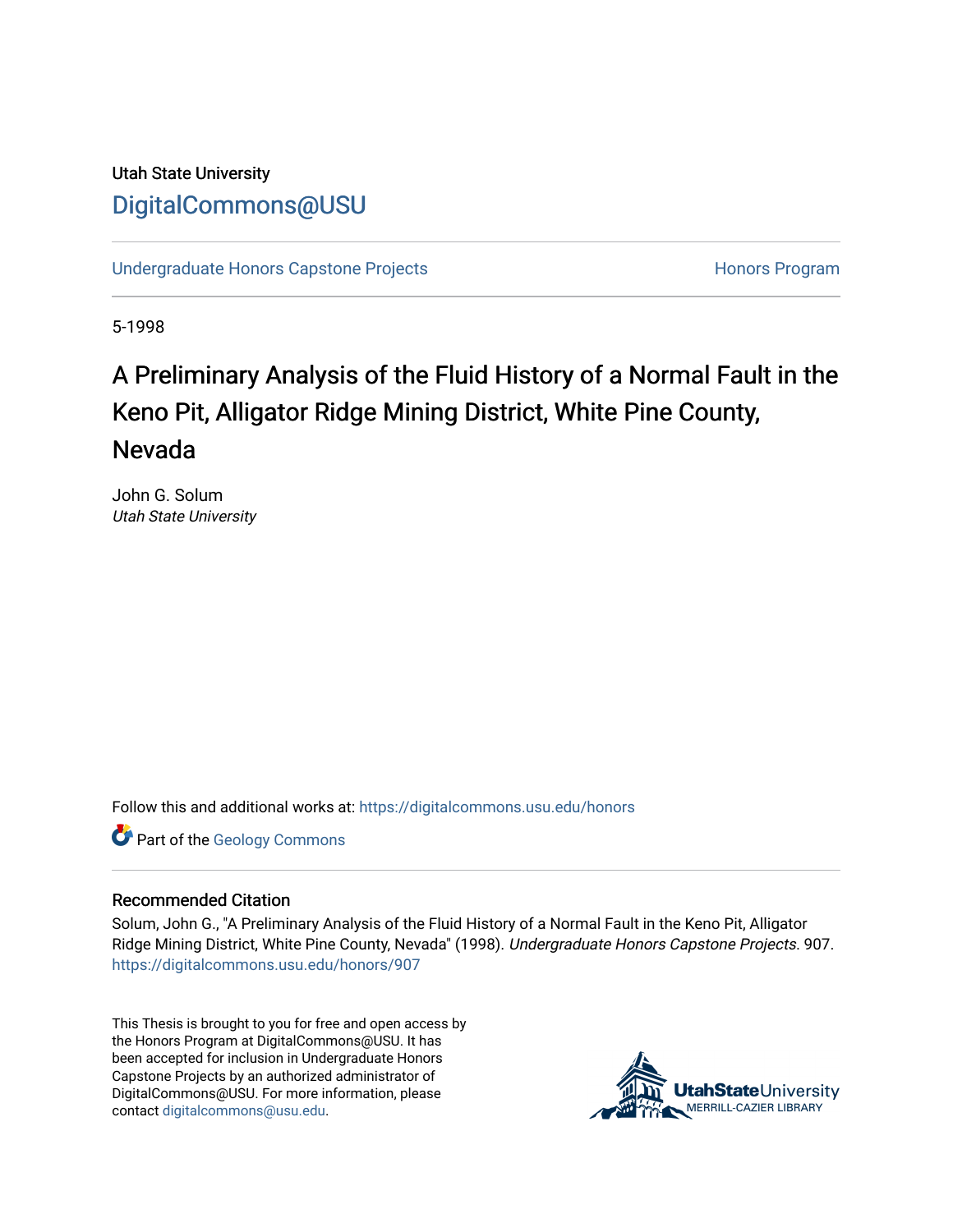# Utah State University [DigitalCommons@USU](https://digitalcommons.usu.edu/)

[Undergraduate Honors Capstone Projects](https://digitalcommons.usu.edu/honors) **Honors Program** Honors Program

5-1998

# A Preliminary Analysis of the Fluid History of a Normal F ault in the Keno Pit, Alligator Ridge Mining District, White Pine County, Nevada

John G. Solum Utah State University

Follow this and additional works at: [https://digitalcommons.usu.edu/honors](https://digitalcommons.usu.edu/honors?utm_source=digitalcommons.usu.edu%2Fhonors%2F907&utm_medium=PDF&utm_campaign=PDFCoverPages)

Part of the [Geology Commons](http://network.bepress.com/hgg/discipline/156?utm_source=digitalcommons.usu.edu%2Fhonors%2F907&utm_medium=PDF&utm_campaign=PDFCoverPages)

#### Recommended Citation

Solum, John G., "A Preliminary Analysis of the Fluid History of a Normal Fault in the Keno Pit, Alligator Ridge Mining District, White Pine County, Nevada" (1998). Undergraduate Honors Capstone Projects. 907. [https://digitalcommons.usu.edu/honors/907](https://digitalcommons.usu.edu/honors/907?utm_source=digitalcommons.usu.edu%2Fhonors%2F907&utm_medium=PDF&utm_campaign=PDFCoverPages)

This Thesis is brought to you for free and open access by the Honors Program at DigitalCommons@USU. It has been accepted for inclusion in Undergraduate Honors Capstone Projects by an authorized administrator of DigitalCommons@USU. For more information, please contact [digitalcommons@usu.edu](mailto:digitalcommons@usu.edu).

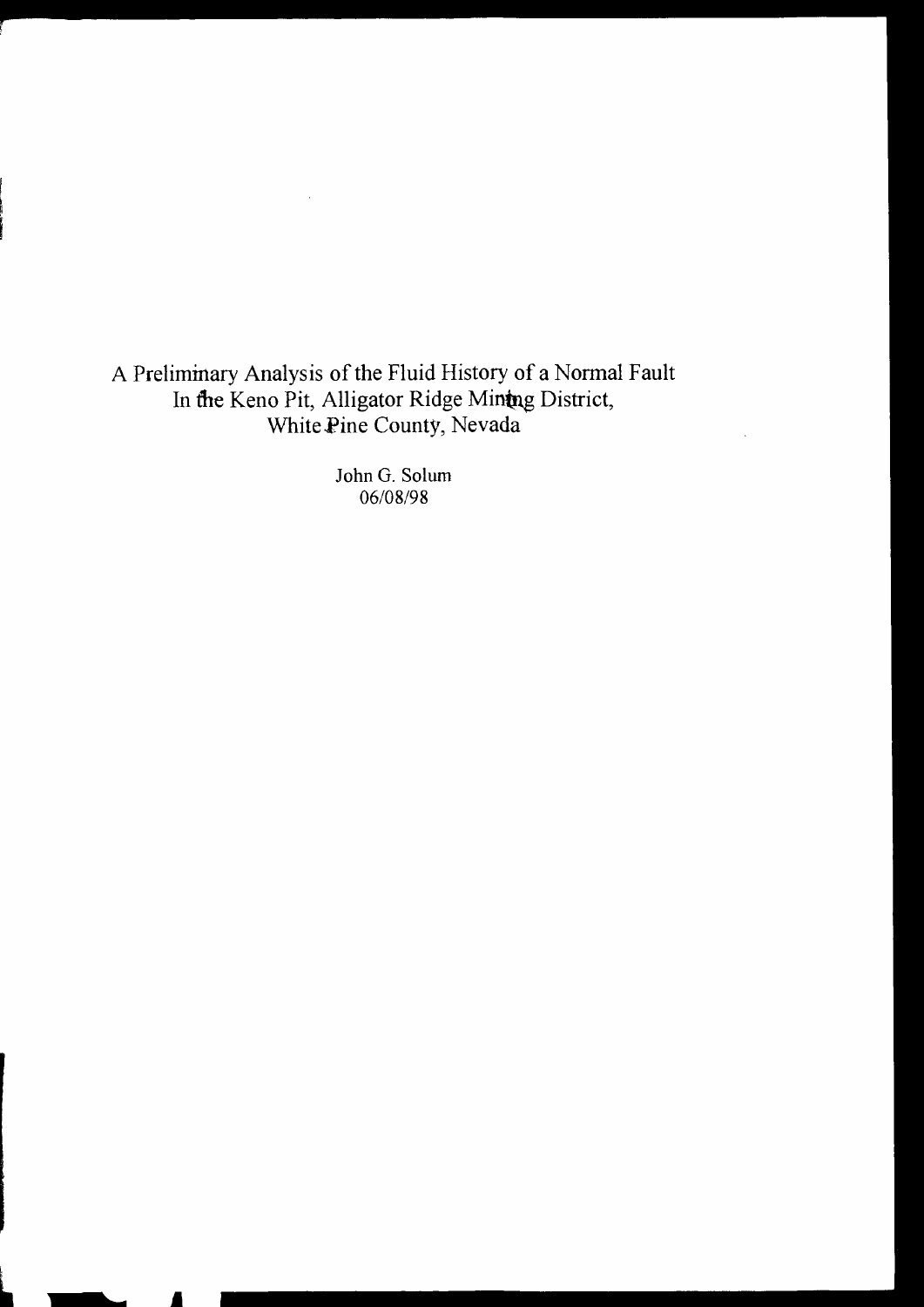A Preliminary Analysis of the Fluid History of a Normal Fault In the Keno Pit, Alligator Ridge Mintng District, White.Pine County, Nevada

> John G. Solum 06/08/98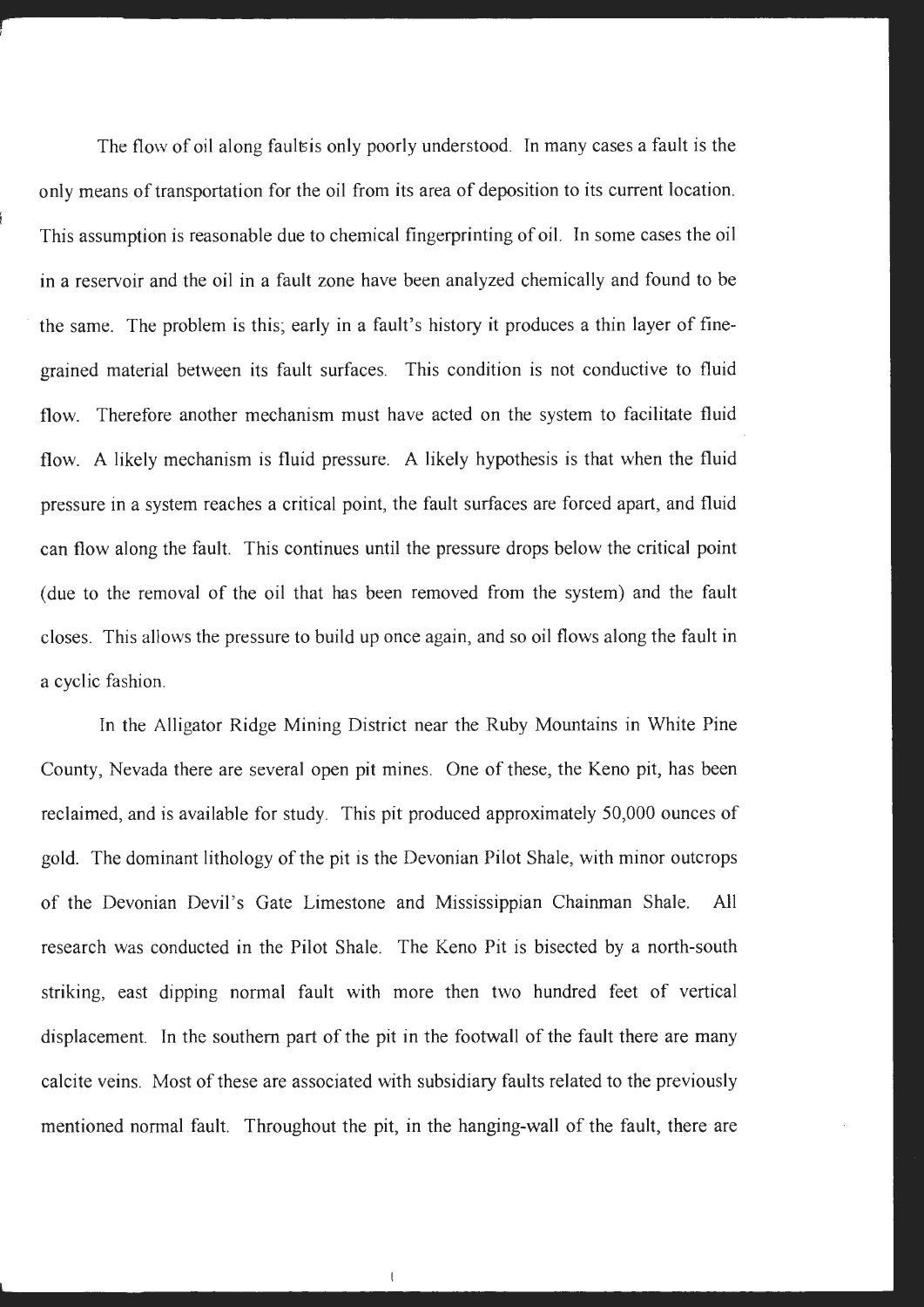The flow of oil along faults only poorly understood. In many cases a fault is the only means of transportation for the oil from its area of deposition to its current location. This assumption is reasonable due to chemical fingerprinting of oil. In some cases the oil in a reservoir and the oil in a fault zone have been analyzed chemically and found to be the same. The problem is this; early in a fault's history it produces a thin layer of finegrained material between its fault surfaces. This condition is not conductive to fluid flow. Therefore another mechanism must have acted on the system to facilitate fluid flow. A likely mechanism is fluid pressure. A likely hypothesis is that when the fluid pressure in a system reaches a critical point, the fault surfaces are forced apart, and fluid can flow along the fault. This continues until the pressure drops below the critical point (due to the removal of the oil that has been removed from the system) and the fault closes. This allows the pressure to build up once again, and so oil flows along the fault in a cyclic fashion.

In the Alligator Ridge Mining District near the Ruby Mountains in White Pine County, Nevada there are several open pit mines. One of these, the Keno pit, has been reclaimed, and is available for study. This pit produced approximately 50,000 ounces of gold. The dominant lithology of the pit is the Devonian Pilot Shale, with minor outcrops of the Devonian Devil's Gate Limestone and Mississippian Chainman Shale. All research was conducted in the Pilot Shale. The Keno Pit is bisected by a north-south striking, east dipping normal fault with more then two hundred feet of vertical displacement. In the southern part of the pit in the footwall of the fault there are many calcite veins. Most of these are associated with subsidiary faults related to the previously mentioned normal fault. Throughout the pit, in the hanging-wall of the fault, there are

 $\mathbf{I}$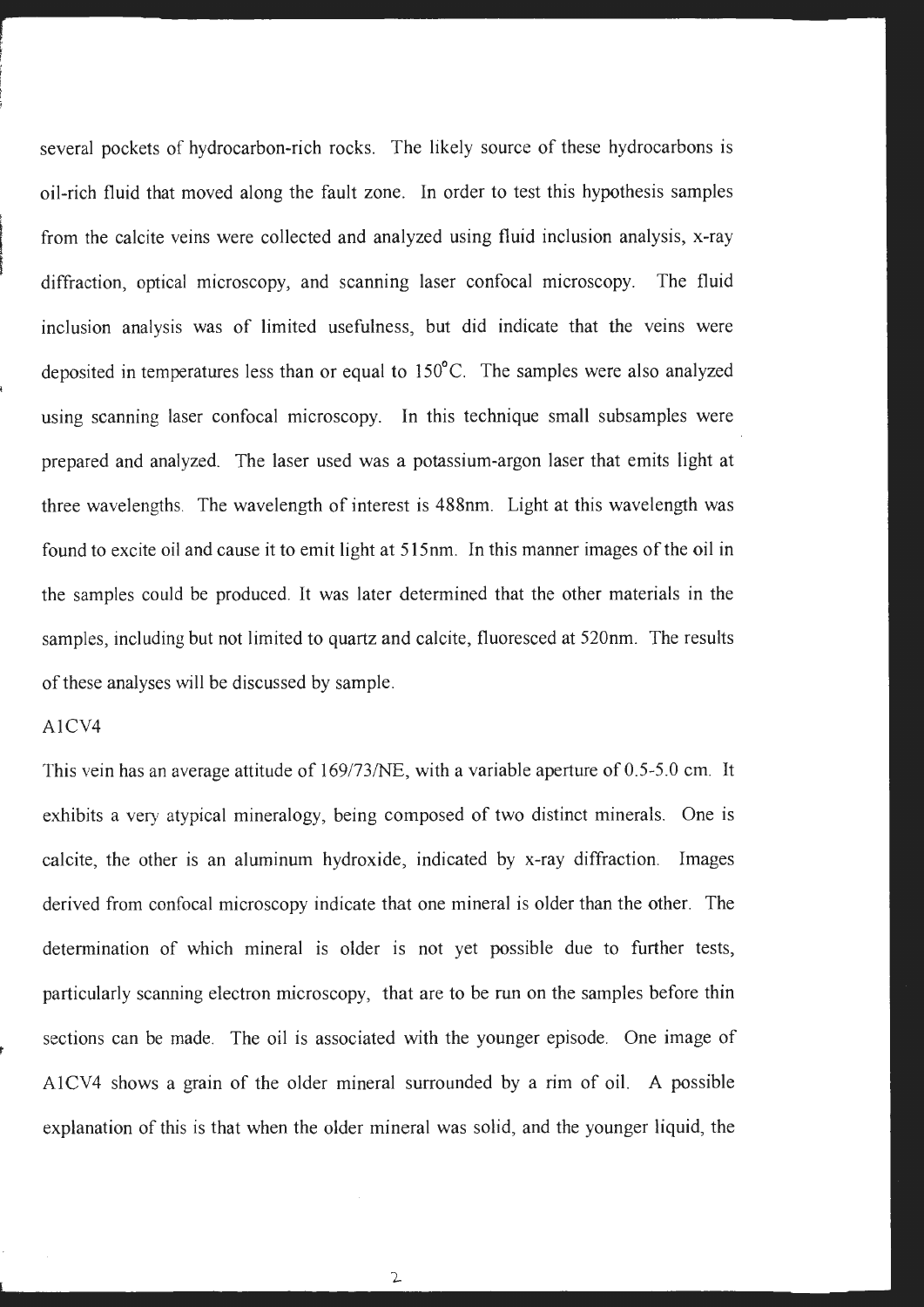several pockets of hydrocarbon-rich rocks. The likely source of these hydrocarbons is oil-rich fluid that moved along the fault zone. In order to test this hypothesis samples from the calcite veins were collected and analyzed using fluid inclusion analysis, x-ray diffraction, optical microscopy, and scanning laser confocal microscopy. The fluid inclusion analysis was of limited usefulness, but did indicate that the veins were deposited in temperatures less than or equal to 150°C. The samples were also analyzed using scanning laser confocal microscopy. In this technique small subsamples were prepared and analyzed. The laser used was a potassium-argon laser that emits light at three wavelengths. The wavelength of interest is 488nm. Light at this wavelength was found to excite oil and cause it to emit light at 515nm. In this manner images of the oil in the samples could be produced. It was later determined that the other materials in the samples, including but not limited to quartz and calcite, fluoresced at 520nm. The results of these analyses will be discussed by sample.

# A1CV4

t

This vein has an average attitude of 169/73/NE, with a variable aperture of 0.5-5.0 cm. It exhibits a very atypical mineralogy, being composed of two distinct minerals. One is calcite, the other is an aluminum hydroxide, indicated by x-ray diffraction. Images derived from confocal microscopy indicate that one mineral is older than the other. The determination of which mineral is older is not yet possible due to further tests, particularly scanning electron microscopy, that are to be run on the samples before thin sections can be made. The oil is associated with the younger episode. One image of A1CV4 shows a grain of the older mineral surrounded by a rim of oil. A possible explanation of this is that when the older mineral was solid, and the younger liquid, the

 $\mathbf{2}$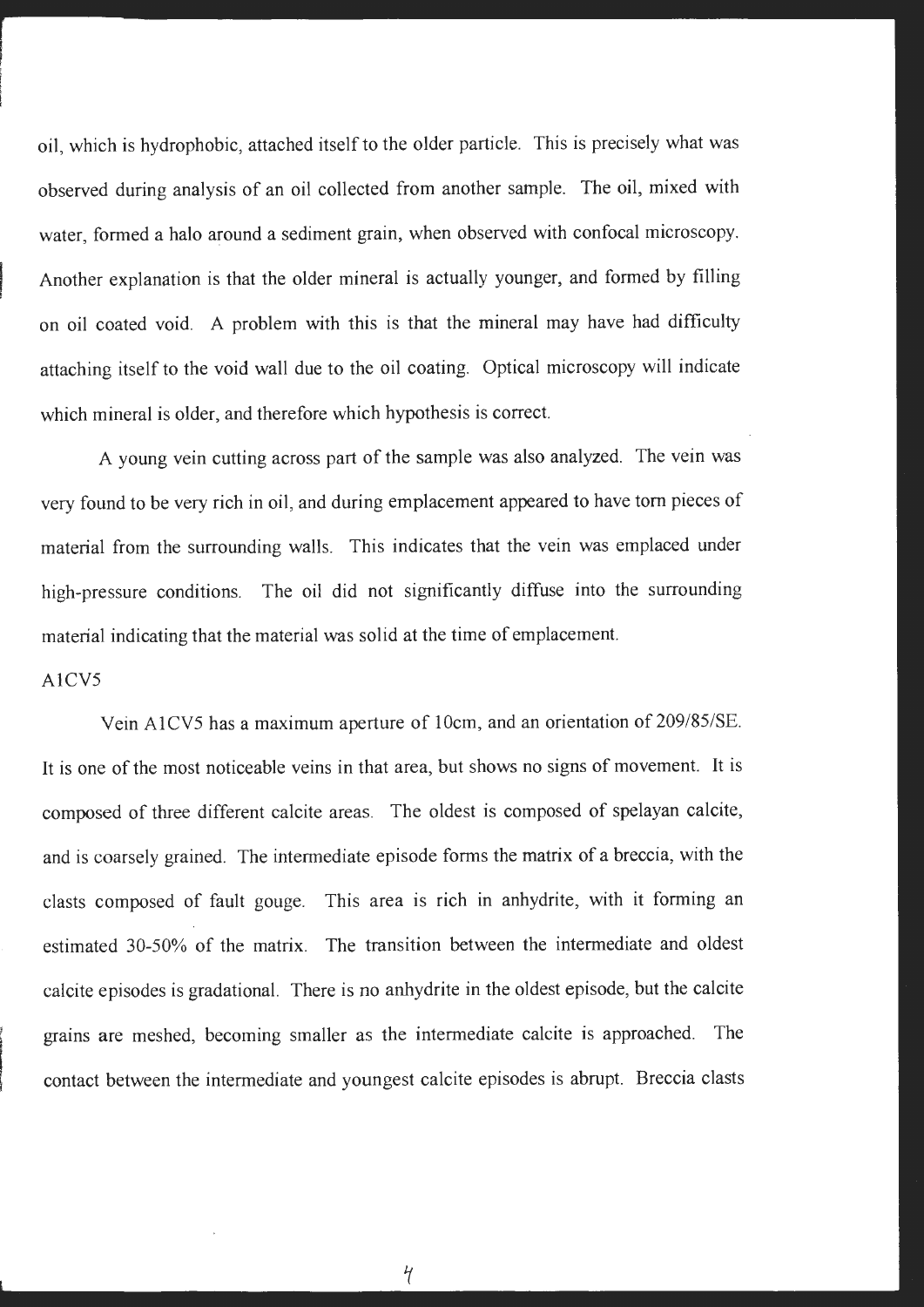oil, which is hydrophobic, attached itself to the older particle. This is precisely what was observed during analysis of an oil collected from another sample. The oil, mixed with water, formed a halo around a sediment grain, when observed with confocal microscopy. f Another explanation is that the older mineral is actually younger, and formed by filling on oil coated void. A problem with this is that the mineral may have had difficulty attaching itself to the void wall due to the oil coating. Optical microscopy will indicate which mineral is older, and therefore which hypothesis is correct.

A young vein cutting across part of the sample was also analyzed. The vein was very found to be very rich in oil, and during emplacement appeared to have tom pieces of material from the surrounding walls. This indicates that the vein was emplaced under high-pressure conditions. The oil did not significantly diffuse into the surrounding material indicating that the material was solid at the time of emplacement.

### A1CV5

l Vein AlCV5 has a maximum aperture of 10cm, and an orientation of 209/85/SE. It is one of the most noticeable veins in that area, but shows no signs of movement. It is composed of three different calcite areas. The oldest is composed of spelayan calcite, and is coarsely grained. The intermediate episode forms the matrix of a breccia, with the clasts composed of fault gouge. This area is rich in anhydrite, with it forming an estimated 30-50% of the matrix. The transition between the intermediate and oldest calcite episodes is gradational. There is no anhydrite in the oldest episode, but the calcite grains are meshed, becoming smaller as the intermediate calcite is approached. The contact between the intermediate and youngest calcite episodes is abrupt. Breccia clasts

 $\frac{1}{\sqrt{2}}$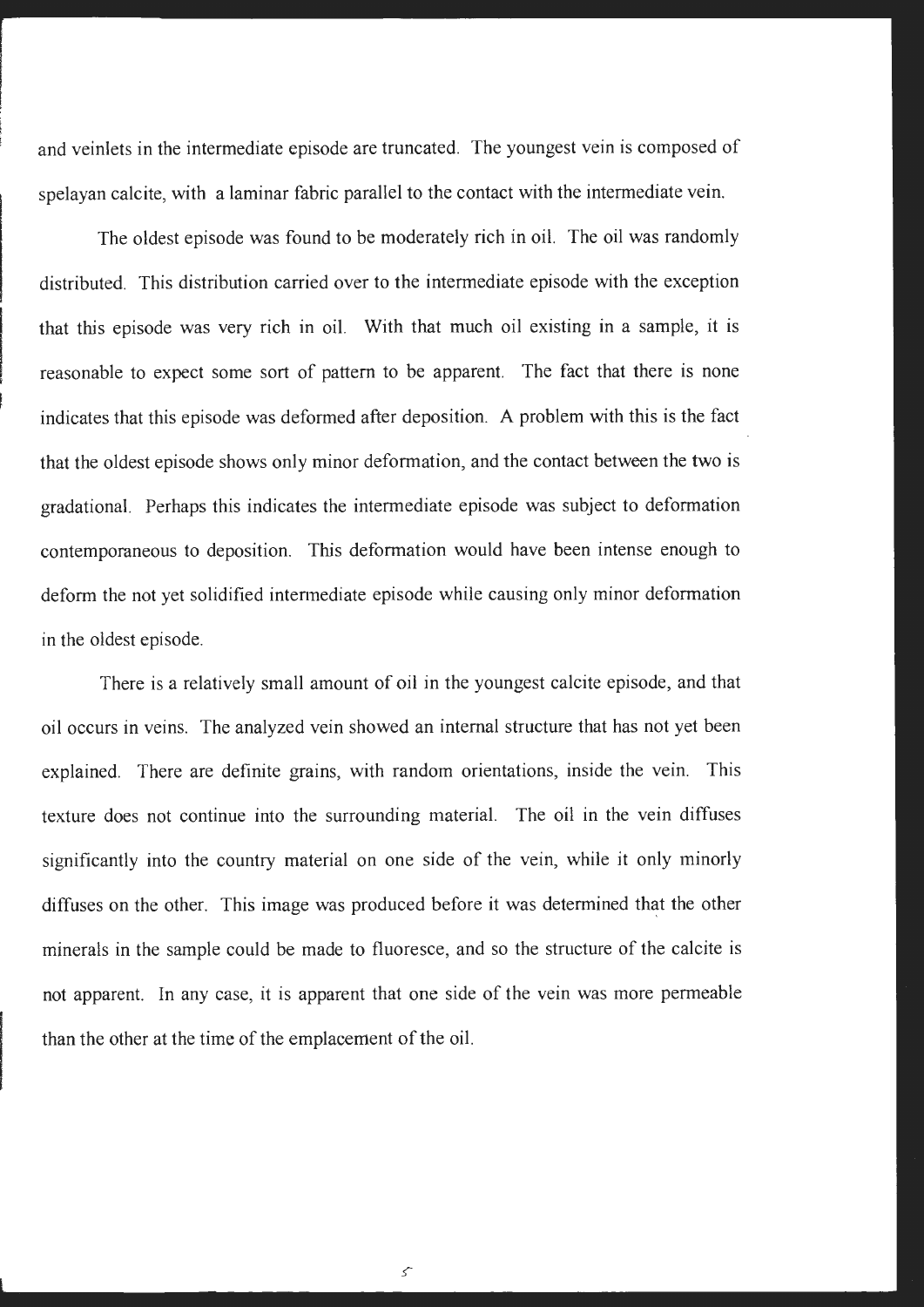and veinlets in the intermediate episode are truncated. The youngest vein is composed of spelayan calcite, with a laminar fabric parallel to the contact with the intermediate vein.

The oldest episode was found to be moderately rich in oil. The oil was randomly distributed. This distribution carried over to the intermediate episode with the exception that this episode was very rich in oil. With that much oil existing in a sample, it is reasonable to expect some sort of pattern to be apparent. The fact that there is none indicates that this episode was deformed after deposition. A problem with this is the fact that the oldest episode shows only minor deformation, and the contact between the two is gradational. Perhaps this indicates the intermediate episode was subject to deformation contemporaneous to deposition. This deformation would have been intense enough to deform the not yet solidified intermediate episode while causing only minor deformation in the oldest episode.

There is a relatively small amount of oil in the youngest calcite episode, and that oil occurs in veins. The analyzed vein showed an internal structure that has not yet been explained. There are definite grains, with random orientations, inside the vein. This texture does not continue into the surrounding material. The oil in the vein diffuses significantly into the country material on one side of the vein, while it only minorly diffuses on the other. This image was produced before it was determined that the other minerals in the sample could be made to fluoresce, and so the structure of the calcite is not apparent. In any case, it is apparent that one side of the vein was more permeable than the other at the time of the emplacement of the oil.

 $\mathcal{S}$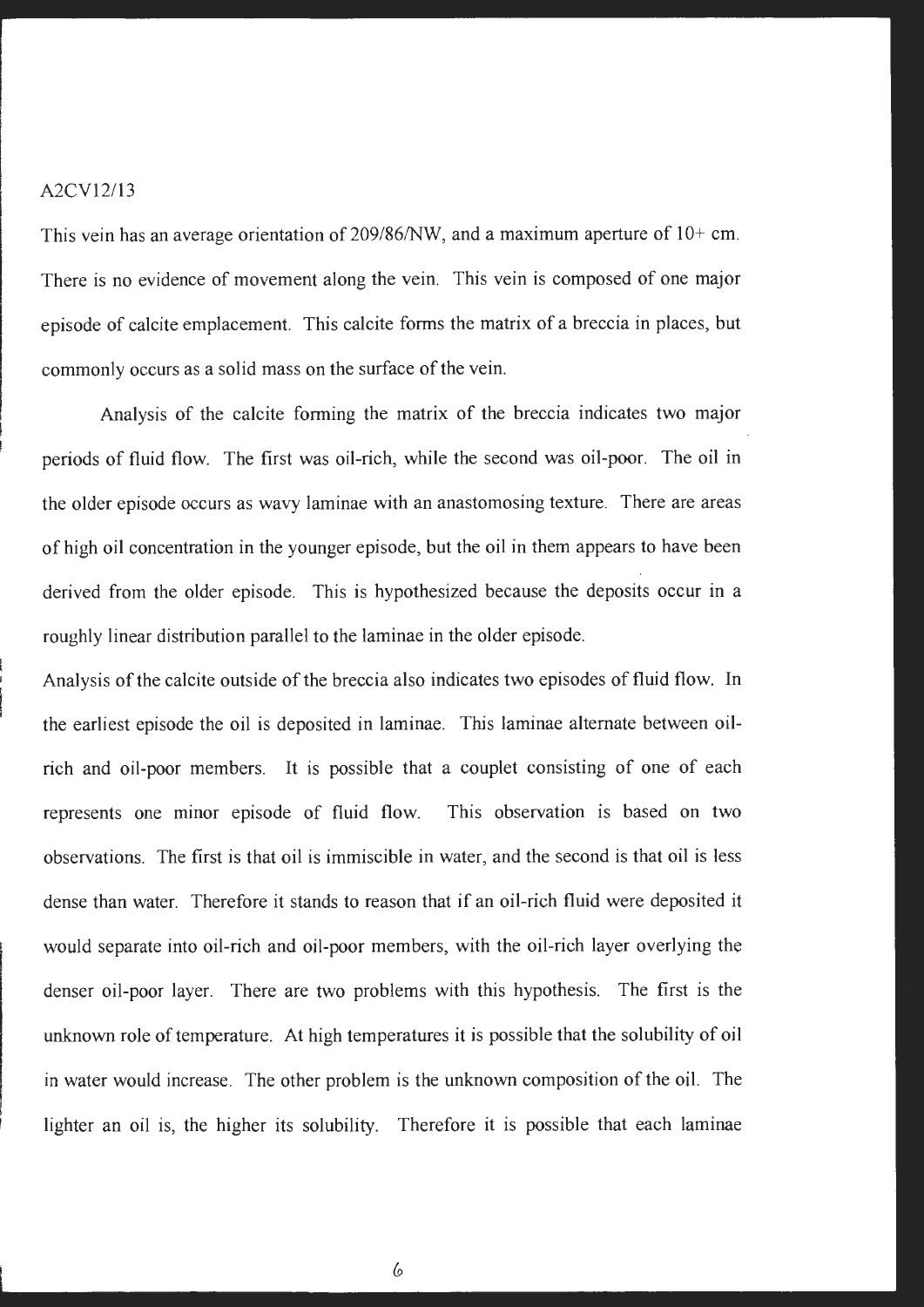### A2CV12/13

This vein has an average orientation of 209/86/NW, and a maximum aperture of IO+ cm. There is no evidence of movement along the vein. This vein is composed of one major episode of calcite emplacement. This calcite forms the matrix of a breccia in places, but commonly occurs as a solid mass on the surface of the vein.

Analysis of the calcite forming the matrix of the breccia indicates two major periods of fluid flow. The first was oil-rich, while the second was oil-poor. The oil in the older episode occurs as wavy laminae with an anastomosing texture. There are areas of high oil concentration in the younger episode, but the oil in them appears to have been derived from the older episode. This is hypothesized because the deposits occur in a roughly linear distribution parallel to the laminae in the older episode.

Analysis of the calcite outside of the breccia also indicates two episodes of fluid flow. In the earliest episode the oil is deposited in laminae. This laminae alternate between oilrich and oil-poor members. It is possible that a couplet consisting of one of each represents one minor episode of fluid flow. This observation is based on two observations. The first is that oil is immiscible in water, and the second is that oil is less dense than water. Therefore it stands to reason that if an oil-rich fluid were deposited it would separate into oil-rich and oil-poor members, with the oil-rich layer overlying the denser oil-poor layer. There are two problems with this hypothesis. The first is the unknown role of temperature. At high temperatures it is possible that the solubility of oil in water would increase. The other problem is the unknown composition of the oil. The lighter an oil is, the higher its solubility. Therefore it is possible that each laminae

6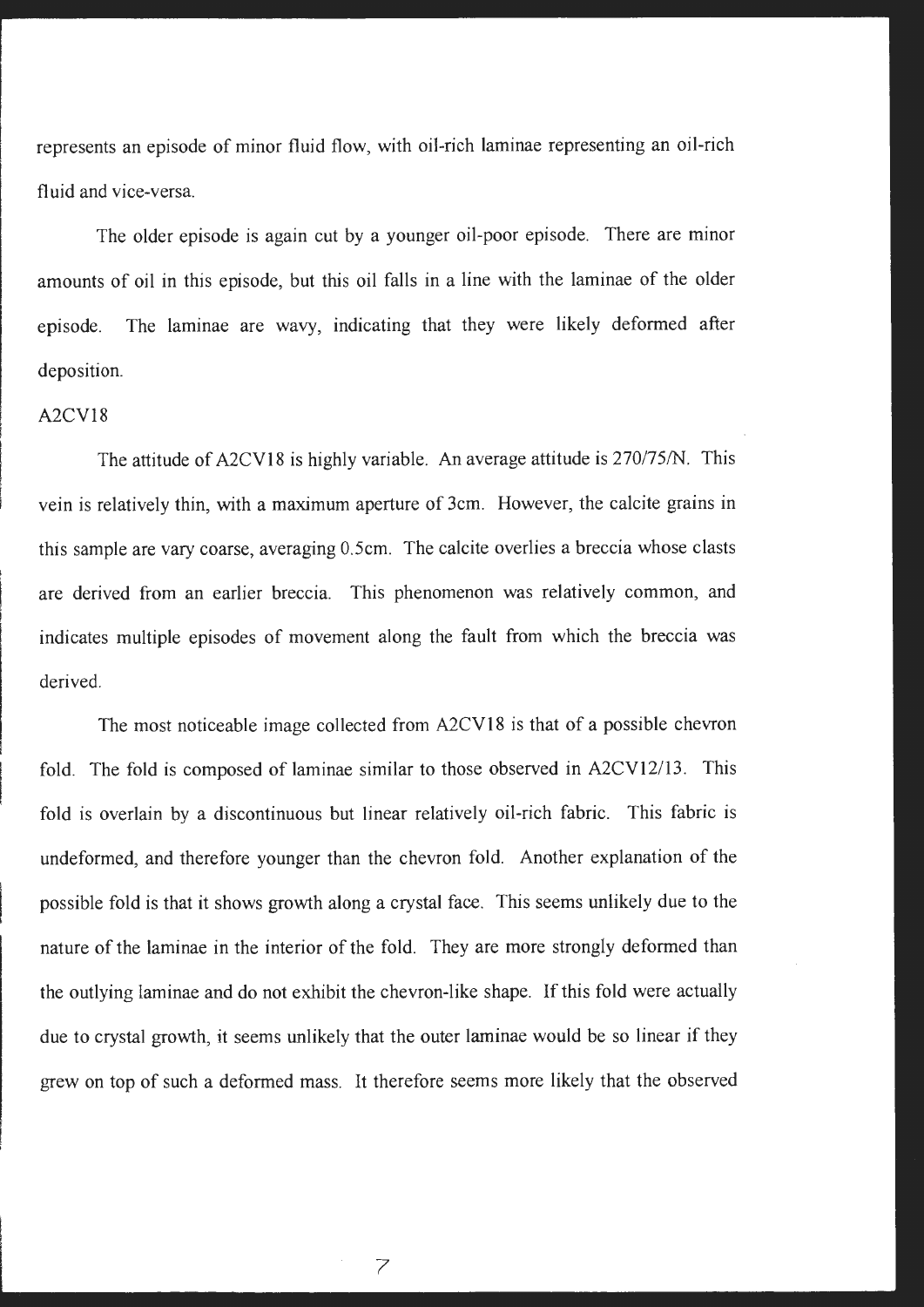represents an episode of minor fluid flow, with oil-rich laminae representing an oil-rich fluid and vice-versa.

The older episode is again cut by a younger oil-poor episode. There are minor amounts of oil in this episode, but this oil falls in a line with the laminae of the older episode. The laminae are wavy, indicating that they were likely deformed after deposition.

# A2CV18

The attitude of A2CV18 is highly variable. An average attitude is 270/75/N. This vein is relatively thin, with a maximum aperture of 3cm. However, the calcite grains in this sample are vary coarse, averaging 0.5cm. The calcite overlies a breccia whose clasts are derived from an earlier breccia. This phenomenon was relatively common, and indicates multiple episodes of movement along the fault from which the breccia was derived.

The most noticeable image collected from A2CV18 is that of a possible chevron fold. The fold is composed of laminae similar to those observed in A2CV12/13. This fold is overlain by a discontinuous but linear relatively oil-rich fabric. This fabric is undeformed, and therefore younger than the chevron fold. Another explanation of the possible fold is that it shows growth along a crystal face. This seems unlikely due to the nature of the laminae in the interior of the fold. They are more strongly deformed than the outlying laminae and do not exhibit the chevron-like shape. If this fold were actually due to crystal growth, it seems unlikely that the outer laminae would be so linear if they grew on top of such a deformed mass. It therefore seems more likely that the observed

7